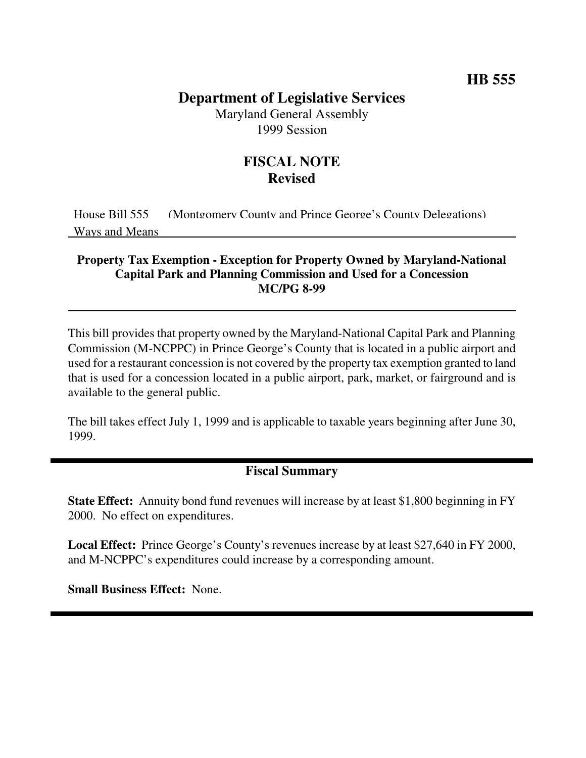## **Department of Legislative Services**

Maryland General Assembly 1999 Session

# **FISCAL NOTE Revised**

House Bill 555 (Montgomery County and Prince George's County Delegations) Ways and Means

#### **Property Tax Exemption - Exception for Property Owned by Maryland-National Capital Park and Planning Commission and Used for a Concession MC/PG 8-99**

This bill provides that property owned by the Maryland-National Capital Park and Planning Commission (M-NCPPC) in Prince George's County that is located in a public airport and used for a restaurant concession is not covered by the property tax exemption granted to land that is used for a concession located in a public airport, park, market, or fairground and is available to the general public.

The bill takes effect July 1, 1999 and is applicable to taxable years beginning after June 30, 1999.

### **Fiscal Summary**

**State Effect:** Annuity bond fund revenues will increase by at least \$1,800 beginning in FY 2000. No effect on expenditures.

**Local Effect:** Prince George's County's revenues increase by at least \$27,640 in FY 2000, and M-NCPPC's expenditures could increase by a corresponding amount.

**Small Business Effect:** None.